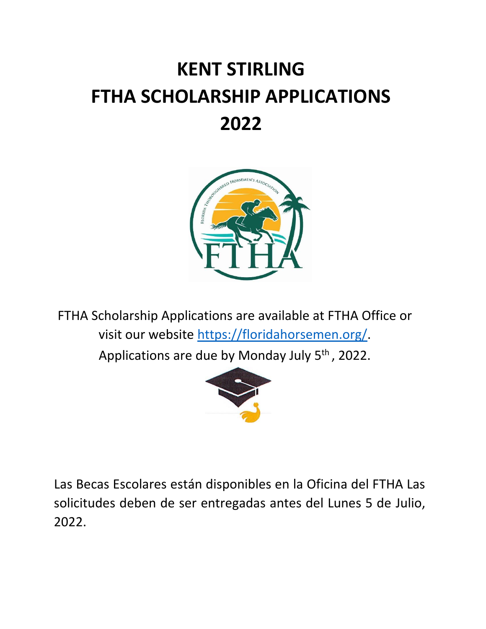# **KENT STIRLING FTHA SCHOLARSHIP APPLICATIONS 2022**



FTHA Scholarship Applications are available at FTHA Office or visit our website [https://floridahorsemen.org/.](https://floridahorsemen.org/)

Applications are due by Monday July 5<sup>th</sup>, 2022.



Las Becas Escolares están disponibles en la Oficina del FTHA Las solicitudes deben de ser entregadas antes del Lunes 5 de Julio, 2022.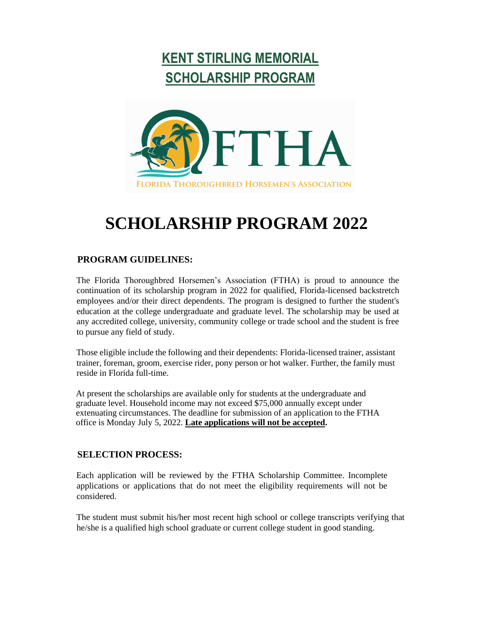## **KENT STIRLING MEMORIAL SCHOLARSHIP PROGRAM**



## **SCHOLARSHIP PROGRAM 2022**

#### **PROGRAM GUIDELINES:**

The Florida Thoroughbred Horsemen's Association (FTHA) is proud to announce the continuation of its scholarship program in 2022 for qualified, Florida-licensed backstretch employees and/or their direct dependents. The program is designed to further the student's education at the college undergraduate and graduate level. The scholarship may be used at any accredited college, university, community college or trade school and the student is free to pursue any field of study.

Those eligible include the following and their dependents: Florida-licensed trainer, assistant trainer, foreman, groom, exercise rider, pony person or hot walker. Further, the family must reside in Florida full-time.

At present the scholarships are available only for students at the undergraduate and graduate level. Household income may not exceed \$75,000 annually except under extenuating circumstances. The deadline for submission of an application to the FTHA office is Monday July 5, 2022. **Late applications will not be accepted.**

#### **SELECTION PROCESS:**

Each application will be reviewed by the FTHA Scholarship Committee. Incomplete applications or applications that do not meet the eligibility requirements will not be considered.

The student must submit his/her most recent high school or college transcripts verifying that he/she is a qualified high school graduate or current college student in good standing.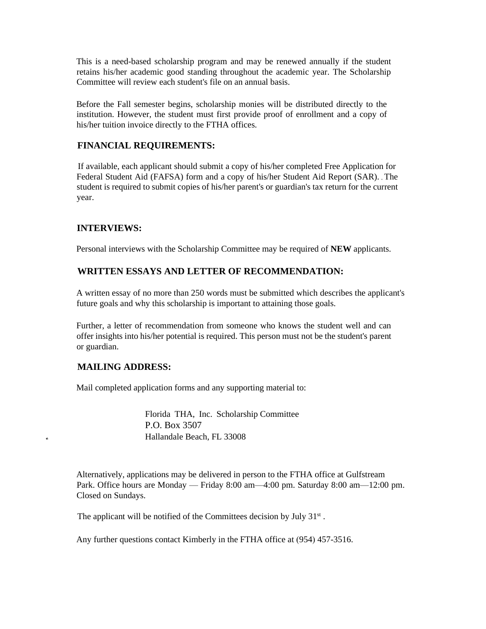This is a need-based scholarship program and may be renewed annually if the student retains his/her academic good standing throughout the academic year. The Scholarship Committee will review each student's file on an annual basis.

Before the Fall semester begins, scholarship monies will be distributed directly to the institution. However, the student must first provide proof of enrollment and a copy of his/her tuition invoice directly to the FTHA offices.

#### **FINANCIAL REQUIREMENTS:**

 If available, each applicant should submit a copy of his/her completed Free Application for Federal Student Aid (FAFSA) form and a copy of his/her Student Aid Report (SAR). The student is required to submit copies of his/her parent's or guardian's tax return for the current year.

#### **INTERVIEWS:**

Personal interviews with the Scholarship Committee may be required of **NEW** applicants.

#### **WRITTEN ESSAYS AND LETTER OF RECOMMENDATION:**

A written essay of no more than 250 words must be submitted which describes the applicant's future goals and why this scholarship is important to attaining those goals.

Further, a letter of recommendation from someone who knows the student well and can offer insights into his/her potential is required. This person must not be the student's parent or guardian.

#### **MAILING ADDRESS:**

Mail completed application forms and any supporting material to:

Florida THA, Inc. Scholarship Committee P.O. Box 3507 Hallandale Beach, FL 33008

Alternatively, applications may be delivered in person to the FTHA office at Gulfstream Park. Office hours are Monday — Friday 8:00 am—4:00 pm. Saturday 8:00 am—12:00 pm. Closed on Sundays.

The applicant will be notified of the Committees decision by July 31<sup>st</sup>.

Any further questions contact Kimberly in the FTHA office at (954) 457-3516.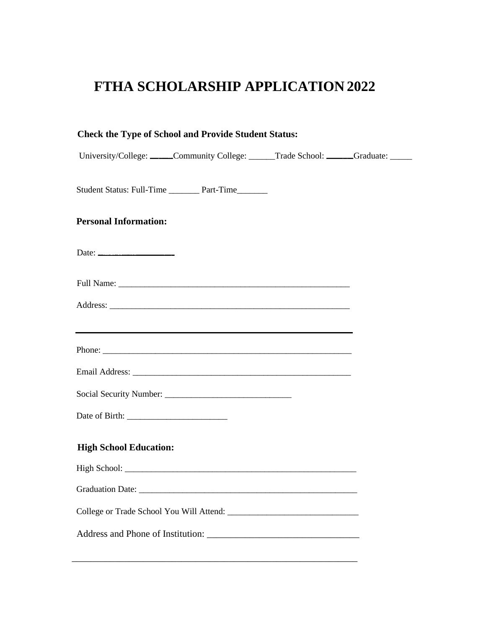### **FTHA SCHOLARSHIP APPLICATION 2022**

|                               | University/College: _____Community College: _____Trade School: _____Graduate: ____ |  |
|-------------------------------|------------------------------------------------------------------------------------|--|
|                               | Student Status: Full-Time __________ Part-Time________                             |  |
| <b>Personal Information:</b>  |                                                                                    |  |
| Date: $\frac{1}{2}$           |                                                                                    |  |
|                               |                                                                                    |  |
|                               |                                                                                    |  |
|                               |                                                                                    |  |
|                               |                                                                                    |  |
|                               |                                                                                    |  |
|                               |                                                                                    |  |
| <b>High School Education:</b> |                                                                                    |  |
|                               |                                                                                    |  |
|                               |                                                                                    |  |

\_\_\_\_\_\_\_\_\_\_\_\_\_\_\_\_\_\_\_\_\_\_\_\_\_\_\_\_\_\_\_\_\_\_\_\_\_\_\_\_\_\_\_\_\_\_\_\_\_\_\_\_\_\_\_\_\_\_\_\_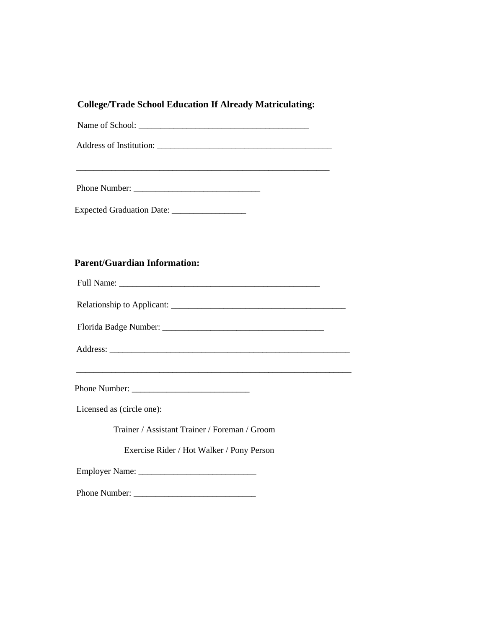#### **College/Trade School Education If Already Matriculating:**

Name of School: \_\_\_\_\_\_\_\_\_\_\_\_\_\_\_\_\_\_\_\_\_\_\_\_\_\_\_\_\_\_\_\_\_\_\_\_\_\_\_

Address of Institution: \_\_\_\_\_\_\_\_\_\_\_\_\_\_\_\_\_\_\_\_\_\_\_\_\_\_\_\_\_\_\_\_\_\_\_\_\_\_\_\_

\_\_\_\_\_\_\_\_\_\_\_\_\_\_\_\_\_\_\_\_\_\_\_\_\_\_\_\_\_\_\_\_\_\_\_\_\_\_\_\_\_\_\_\_\_\_\_\_\_\_\_\_\_\_\_\_\_\_

Phone Number: \_\_\_\_\_\_\_\_\_\_\_\_\_\_\_\_\_\_\_\_\_\_\_\_\_\_\_\_\_

Expected Graduation Date: \_\_\_\_\_\_\_\_\_\_\_\_\_\_\_\_\_

#### **Parent/Guardian Information:**

Full Name: Relationship to Applicant: \_\_\_\_\_\_\_\_\_\_\_\_\_\_\_\_\_\_\_\_\_\_\_\_\_\_\_\_\_\_\_\_\_\_\_\_\_\_\_\_ Florida Badge Number: \_\_\_\_\_\_\_\_\_\_\_\_\_\_\_\_\_\_\_\_\_\_\_\_\_\_\_\_\_\_\_\_\_\_\_\_\_ Address: \_\_\_\_\_\_\_\_\_\_\_\_\_\_\_\_\_\_\_\_\_\_\_\_\_\_\_\_\_\_\_\_\_\_\_\_\_\_\_\_\_\_\_\_\_\_\_\_\_\_\_\_\_\_\_ \_\_\_\_\_\_\_\_\_\_\_\_\_\_\_\_\_\_\_\_\_\_\_\_\_\_\_\_\_\_\_\_\_\_\_\_\_\_\_\_\_\_\_\_\_\_\_\_\_\_\_\_\_\_\_\_\_\_\_\_\_\_\_ Phone Number: \_\_\_\_\_\_\_\_\_\_\_\_\_\_\_\_\_\_\_\_\_\_\_\_\_\_\_ Licensed as (circle one): Trainer / Assistant Trainer / Foreman / Groom

Exercise Rider / Hot Walker / Pony Person

Employer Name: \_\_\_\_\_\_\_\_\_\_\_\_\_\_\_\_\_\_\_\_\_\_\_\_\_\_\_

Phone Number: \_\_\_\_\_\_\_\_\_\_\_\_\_\_\_\_\_\_\_\_\_\_\_\_\_\_\_\_